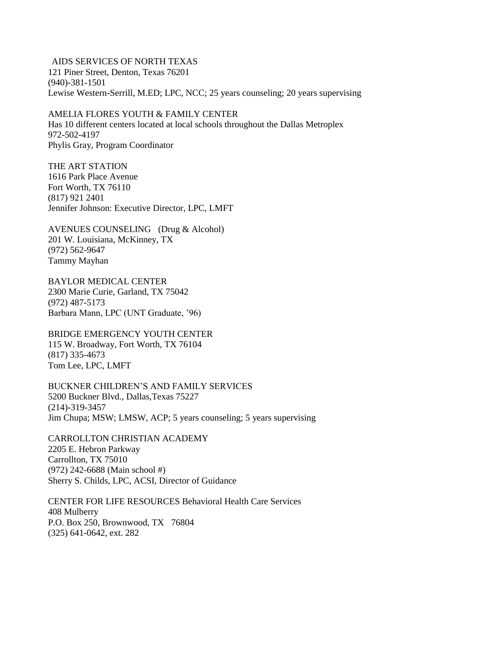## AIDS SERVICES OF NORTH TEXAS 121 Piner Street, Denton, Texas 76201 (940)-381-1501 Lewise Western-Serrill, M.ED; LPC, NCC; 25 years counseling; 20 years supervising

## AMELIA FLORES YOUTH & FAMILY CENTER

Has 10 different centers located at local schools throughout the Dallas Metroplex 972-502-4197 Phylis Gray, Program Coordinator

THE ART STATION 1616 Park Place Avenue Fort Worth, TX 76110 (817) 921 2401 Jennifer Johnson: Executive Director, LPC, LMFT

AVENUES COUNSELING (Drug & Alcohol) 201 W. Louisiana, McKinney, TX (972) 562-9647 Tammy Mayhan

BAYLOR MEDICAL CENTER 2300 Marie Curie, Garland, TX 75042 (972) 487-5173 Barbara Mann, LPC (UNT Graduate, '96)

BRIDGE EMERGENCY YOUTH CENTER 115 W. Broadway, Fort Worth, TX 76104 (817) 335-4673 Tom Lee, LPC, LMFT

BUCKNER CHILDREN'S AND FAMILY SERVICES 5200 Buckner Blvd., Dallas,Texas 75227 (214)-319-3457 Jim Chupa; MSW; LMSW, ACP; 5 years counseling; 5 years supervising

CARROLLTON CHRISTIAN ACADEMY 2205 E. Hebron Parkway Carrollton, TX 75010 (972) 242-6688 (Main school #) Sherry S. Childs, LPC, ACSI, Director of Guidance

CENTER FOR LIFE RESOURCES Behavioral Health Care Services 408 Mulberry P.O. Box 250, Brownwood, TX 76804 (325) 641-0642, ext. 282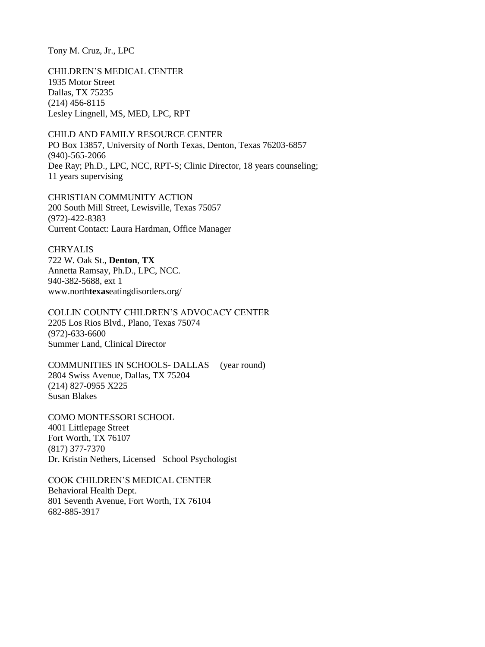Tony M. Cruz, Jr., LPC

CHILDREN'S MEDICAL CENTER 1935 Motor Street Dallas, TX 75235 (214) 456-8115 Lesley Lingnell, MS, MED, LPC, RPT

CHILD AND FAMILY RESOURCE CENTER PO Box 13857, University of North Texas, Denton, Texas 76203-6857 (940)-565-2066 Dee Ray; Ph.D., LPC, NCC, RPT-S; Clinic Director, 18 years counseling; 11 years supervising

CHRISTIAN COMMUNITY ACTION 200 South Mill Street, Lewisville, Texas 75057 (972)-422-8383 Current Contact: Laura Hardman, Office Manager

CHRYALIS 722 W. Oak St., **Denton**, **TX** Annetta Ramsay, Ph.D., LPC, NCC. 940-382-5688, ext 1 www.north**texas**eatingdisorders.org/

COLLIN COUNTY CHILDREN'S ADVOCACY CENTER 2205 Los Rios Blvd., Plano, Texas 75074 (972)-633-6600 Summer Land, Clinical Director

COMMUNITIES IN SCHOOLS- DALLAS (year round) 2804 Swiss Avenue, Dallas, TX 75204 (214) 827-0955 X225 Susan Blakes

COMO MONTESSORI SCHOOL 4001 Littlepage Street Fort Worth, TX 76107 (817) 377-7370 Dr. Kristin Nethers, Licensed School Psychologist

COOK CHILDREN'S MEDICAL CENTER Behavioral Health Dept. 801 Seventh Avenue, Fort Worth, TX 76104 682-885-3917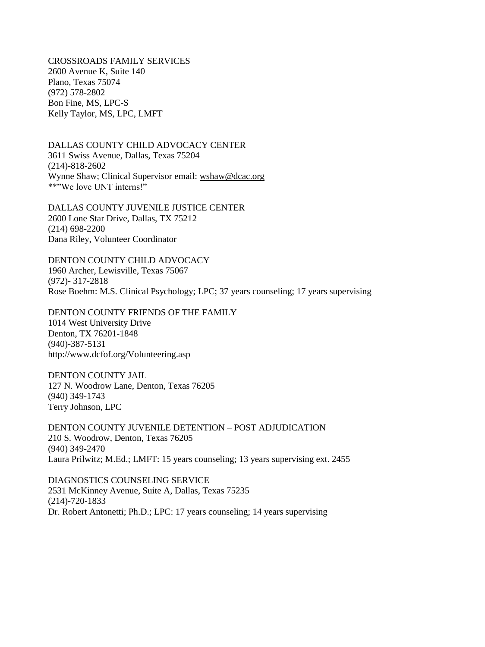CROSSROADS FAMILY SERVICES 2600 Avenue K, Suite 140 Plano, Texas 75074 (972) 578-2802 Bon Fine, MS, LPC-S Kelly Taylor, MS, LPC, LMFT

DALLAS COUNTY CHILD ADVOCACY CENTER 3611 Swiss Avenue, Dallas, Texas 75204 (214)-818-2602 Wynne Shaw; Clinical Supervisor email: [wshaw@dcac.org](mailto:wshaw@dcac.org) \*\*"We love UNT interns!"

DALLAS COUNTY JUVENILE JUSTICE CENTER 2600 Lone Star Drive, Dallas, TX 75212 (214) 698-2200 Dana Riley, Volunteer Coordinator

DENTON COUNTY CHILD ADVOCACY 1960 Archer, Lewisville, Texas 75067 (972)- 317-2818 Rose Boehm: M.S. Clinical Psychology; LPC; 37 years counseling; 17 years supervising

DENTON COUNTY FRIENDS OF THE FAMILY 1014 West University Drive Denton, TX 76201-1848 (940)-387-5131 http://www.dcfof.org/Volunteering.asp

DENTON COUNTY JAIL 127 N. Woodrow Lane, Denton, Texas 76205 (940) 349-1743 Terry Johnson, LPC

DENTON COUNTY JUVENILE DETENTION – POST ADJUDICATION 210 S. Woodrow, Denton, Texas 76205 (940) 349-2470 Laura Prilwitz; M.Ed.; LMFT: 15 years counseling; 13 years supervising ext. 2455

DIAGNOSTICS COUNSELING SERVICE 2531 McKinney Avenue, Suite A, Dallas, Texas 75235 (214)-720-1833 Dr. Robert Antonetti; Ph.D.; LPC: 17 years counseling; 14 years supervising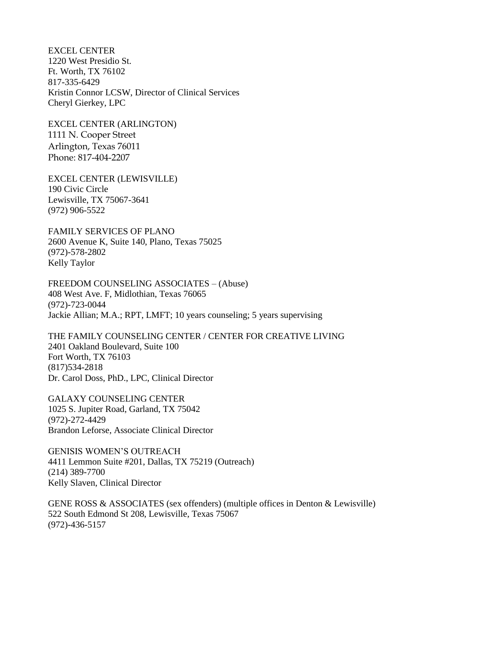EXCEL CENTER 1220 West Presidio St. Ft. Worth, TX 76102 817-335-6429 Kristin Connor LCSW, Director of Clinical Services Cheryl Gierkey, LPC

EXCEL CENTER (ARLINGTON) 1111 N. Cooper Street Arlington, Texas 76011 Phone: 817-404-2207

EXCEL CENTER (LEWISVILLE) 190 Civic Circle Lewisville, TX 75067-3641 (972) 906-5522

FAMILY SERVICES OF PLANO 2600 Avenue K, Suite 140, Plano, Texas 75025 (972)-578-2802 Kelly Taylor

FREEDOM COUNSELING ASSOCIATES – (Abuse) 408 West Ave. F, Midlothian, Texas 76065 (972)-723-0044 Jackie Allian; M.A.; RPT, LMFT; 10 years counseling; 5 years supervising

THE FAMILY COUNSELING CENTER / CENTER FOR CREATIVE LIVING 2401 Oakland Boulevard, Suite 100 Fort Worth, TX 76103 (817)534-2818 Dr. Carol Doss, PhD., LPC, Clinical Director

GALAXY COUNSELING CENTER 1025 S. Jupiter Road, Garland, TX 75042 (972)-272-4429 Brandon Leforse, Associate Clinical Director

GENISIS WOMEN'S OUTREACH 4411 Lemmon Suite #201, Dallas, TX 75219 (Outreach) (214) 389-7700 Kelly Slaven, Clinical Director

GENE ROSS & ASSOCIATES (sex offenders) (multiple offices in Denton & Lewisville) 522 South Edmond St 208, Lewisville, Texas 75067 (972)-436-5157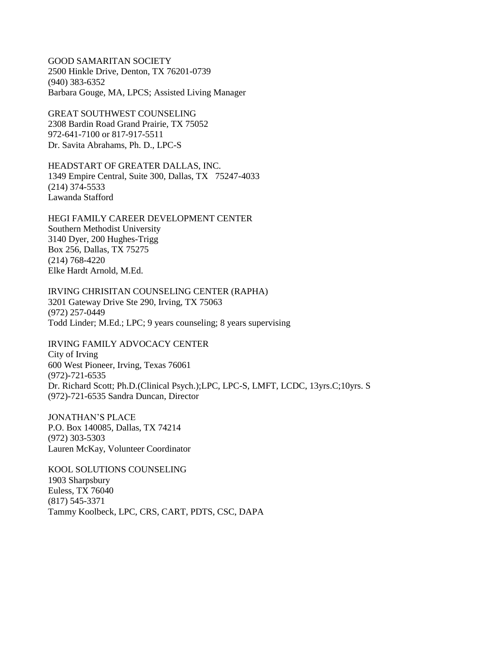GOOD SAMARITAN SOCIETY 2500 Hinkle Drive, Denton, TX 76201-0739 (940) 383-6352 Barbara Gouge, MA, LPCS; Assisted Living Manager

GREAT SOUTHWEST COUNSELING 2308 Bardin Road Grand Prairie, TX 75052 972-641-7100 or 817-917-5511 Dr. Savita Abrahams, Ph. D., LPC-S

HEADSTART OF GREATER DALLAS, INC. 1349 Empire Central, Suite 300, Dallas, TX 75247-4033 (214) 374-5533 Lawanda Stafford

HEGI FAMILY CAREER DEVELOPMENT CENTER Southern Methodist University 3140 Dyer, 200 Hughes-Trigg Box 256, Dallas, TX 75275 (214) 768-4220 Elke Hardt Arnold, M.Ed.

IRVING CHRISITAN COUNSELING CENTER (RAPHA) 3201 Gateway Drive Ste 290, Irving, TX 75063 (972) 257-0449 Todd Linder; M.Ed.; LPC; 9 years counseling; 8 years supervising

IRVING FAMILY ADVOCACY CENTER City of Irving 600 West Pioneer, Irving, Texas 76061 (972)-721-6535 Dr. Richard Scott; Ph.D.(Clinical Psych.);LPC, LPC-S, LMFT, LCDC, 13yrs.C;10yrs. S (972)-721-6535 Sandra Duncan, Director

JONATHAN'S PLACE P.O. Box 140085, Dallas, TX 74214 (972) 303-5303 Lauren McKay, Volunteer Coordinator

KOOL SOLUTIONS COUNSELING 1903 Sharpsbury Euless, TX 76040 (817) 545-3371 Tammy Koolbeck, LPC, CRS, CART, PDTS, CSC, DAPA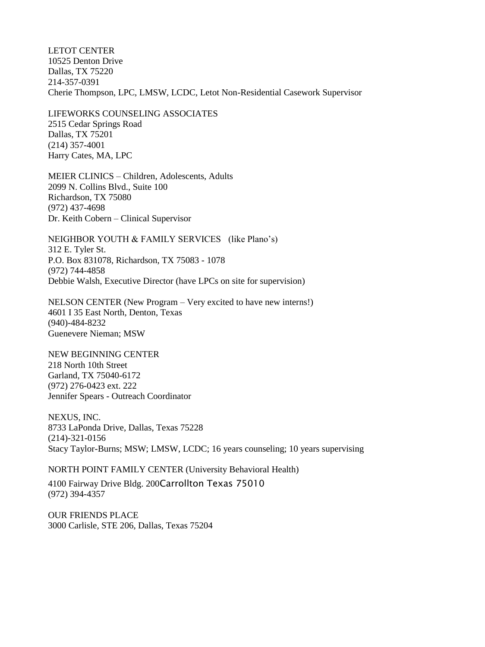LETOT CENTER 10525 Denton Drive Dallas, TX 75220 214-357-0391 Cherie Thompson, LPC, LMSW, LCDC, Letot Non-Residential Casework Supervisor

LIFEWORKS COUNSELING ASSOCIATES 2515 Cedar Springs Road Dallas, TX 75201 (214) 357-4001 Harry Cates, MA, LPC

MEIER CLINICS – Children, Adolescents, Adults 2099 N. Collins Blvd., Suite 100 Richardson, TX 75080 (972) 437-4698 Dr. Keith Cobern – Clinical Supervisor

NEIGHBOR YOUTH & FAMILY SERVICES (like Plano's) 312 E. Tyler St. P.O. Box 831078, Richardson, TX 75083 - 1078 (972) 744-4858 Debbie Walsh, Executive Director (have LPCs on site for supervision)

NELSON CENTER (New Program – Very excited to have new interns!) 4601 I 35 East North, Denton, Texas (940)-484-8232 Guenevere Nieman; MSW

NEW BEGINNING CENTER 218 North 10th Street Garland, TX 75040-6172 (972) 276-0423 ext. 222 Jennifer Spears - Outreach Coordinator

NEXUS, INC. 8733 LaPonda Drive, Dallas, Texas 75228 (214)-321-0156 Stacy Taylor-Burns; MSW; LMSW, LCDC; 16 years counseling; 10 years supervising

NORTH POINT FAMILY CENTER (University Behavioral Health)

4100 Fairway Drive Bldg. 200Carrollton Texas 75010 (972) 394-4357

OUR FRIENDS PLACE 3000 Carlisle, STE 206, Dallas, Texas 75204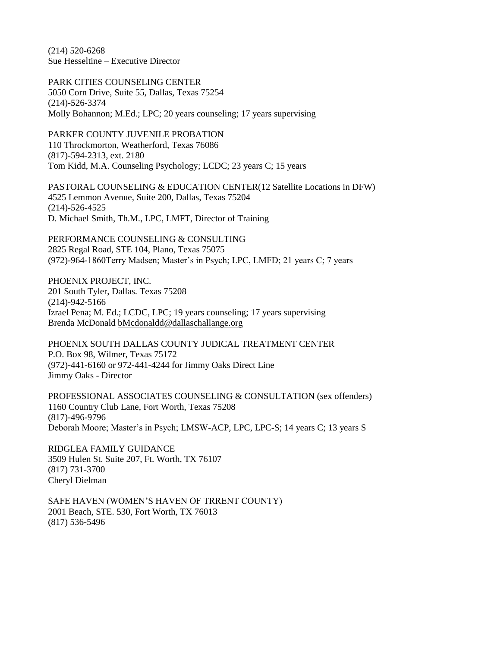(214) 520-6268 Sue Hesseltine – Executive Director

PARK CITIES COUNSELING CENTER 5050 Corn Drive, Suite 55, Dallas, Texas 75254 (214)-526-3374 Molly Bohannon; M.Ed.; LPC; 20 years counseling; 17 years supervising

PARKER COUNTY JUVENILE PROBATION 110 Throckmorton, Weatherford, Texas 76086 (817)-594-2313, ext. 2180 Tom Kidd, M.A. Counseling Psychology; LCDC; 23 years C; 15 years

PASTORAL COUNSELING & EDUCATION CENTER(12 Satellite Locations in DFW) 4525 Lemmon Avenue, Suite 200, Dallas, Texas 75204 (214)-526-4525 D. Michael Smith, Th.M., LPC, LMFT, Director of Training

PERFORMANCE COUNSELING & CONSULTING 2825 Regal Road, STE 104, Plano, Texas 75075 (972)-964-1860Terry Madsen; Master's in Psych; LPC, LMFD; 21 years C; 7 years

PHOENIX PROJECT, INC. 201 South Tyler, Dallas. Texas 75208 (214)-942-5166 Izrael Pena; M. Ed.; LCDC, LPC; 19 years counseling; 17 years supervising Brenda McDonald [bMcdonaldd@dallaschallange.org](mailto:bMcdonaldd@dallaschallange.org)

PHOENIX SOUTH DALLAS COUNTY JUDICAL TREATMENT CENTER P.O. Box 98, Wilmer, Texas 75172 (972)-441-6160 or 972-441-4244 for Jimmy Oaks Direct Line Jimmy Oaks - Director

PROFESSIONAL ASSOCIATES COUNSELING & CONSULTATION (sex offenders) 1160 Country Club Lane, Fort Worth, Texas 75208 (817)-496-9796 Deborah Moore; Master's in Psych; LMSW-ACP, LPC, LPC-S; 14 years C; 13 years S

RIDGLEA FAMILY GUIDANCE 3509 Hulen St. Suite 207, Ft. Worth, TX 76107 (817) 731-3700 Cheryl Dielman

SAFE HAVEN (WOMEN'S HAVEN OF TRRENT COUNTY) 2001 Beach, STE. 530, Fort Worth, TX 76013 (817) 536-5496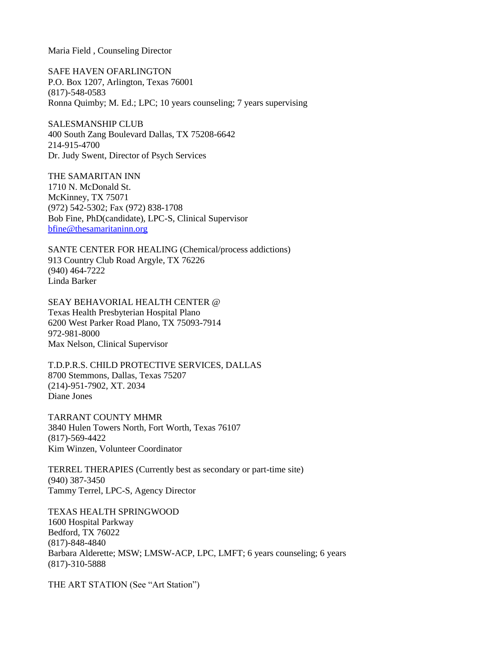Maria Field , Counseling Director

SAFE HAVEN OFARLINGTON P.O. Box 1207, Arlington, Texas 76001 (817)-548-0583 Ronna Quimby; M. Ed.; LPC; 10 years counseling; 7 years supervising

SALESMANSHIP CLUB 400 South Zang Boulevard Dallas, TX 75208-6642 214-915-4700 Dr. Judy Swent, Director of Psych Services

THE SAMARITAN INN 1710 N. McDonald St. McKinney, TX 75071 (972) 542-5302; Fax (972) 838-1708 Bob Fine, PhD(candidate), LPC-S, Clinical Supervisor [bfine@thesamaritaninn.org](mailto:bfine@thesamaritaninn.org)

SANTE CENTER FOR HEALING (Chemical/process addictions) 913 Country Club Road Argyle, TX 76226 (940) 464-7222 Linda Barker

SEAY BEHAVORIAL HEALTH CENTER @ Texas Health Presbyterian Hospital Plano 6200 West Parker Road Plano, TX 75093-7914 [972-981-8000](http://www.texashealth.org/body.cfm?id=1017) Max Nelson, Clinical Supervisor

T.D.P.R.S. CHILD PROTECTIVE SERVICES, DALLAS 8700 Stemmons, Dallas, Texas 75207 (214)-951-7902, XT. 2034 Diane Jones

TARRANT COUNTY MHMR 3840 Hulen Towers North, Fort Worth, Texas 76107 (817)-569-4422 Kim Winzen, Volunteer Coordinator

TERREL THERAPIES (Currently best as secondary or part-time site) (940) 387-3450 Tammy Terrel, LPC-S, Agency Director

TEXAS HEALTH SPRINGWOOD 1600 Hospital Parkway Bedford, TX 76022 (817)-848-4840 Barbara Alderette; MSW; LMSW-ACP, LPC, LMFT; 6 years counseling; 6 years (817)-310-5888

THE ART STATION (See "Art Station")